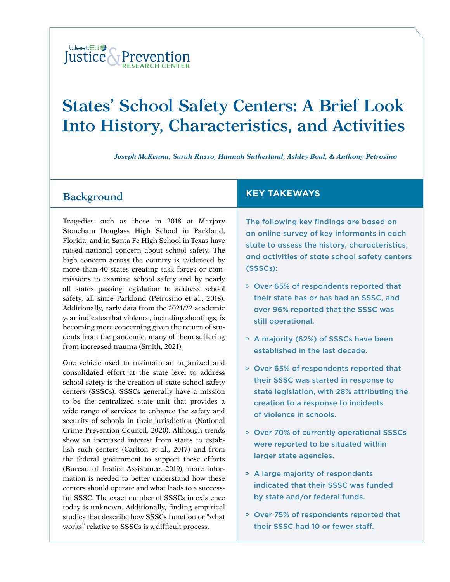#### WestEd<sup>2</sup> Justice & Prevention **[RESEARCH](https://www.wested.org/project/justice-and-prevention-research-center/) CENTER**

# **States' School Safety Centers: A Brief Look Into History, Characteristics, and Activities**

*Joseph McKenna, Sarah Russo, Hannah Sutherland, Ashley Boal, & Anthony Petrosino*

### **Background**

Tragedies such as those in 2018 at Marjory Stoneham Douglass High School in Parkland, Florida, and in Santa Fe High School in Texas have raised national concern about school safety. The high concern across the country is evidenced by more than 40 states creating task forces or commissions to examine school safety and by nearly all states passing legislation to address school safety, all since Parkland (Petrosino et al., 2018). Additionally, early data from the 2021/22 academic year indicates that violence, including shootings, is becoming more concerning given the return of students from the pandemic, many of them suffering from increased trauma (Smith, 2021).

One vehicle used to maintain an organized and consolidated effort at the state level to address school safety is the creation of state school safety centers (SSSCs). SSSCs generally have a mission to be the centralized state unit that provides a wide range of services to enhance the safety and security of schools in their jurisdiction (National Crime Prevention Council, 2020). Although trends show an increased interest from states to establish such centers (Carlton et al., 2017) and from the federal government to support these efforts (Bureau of Justice Assistance, 2019), more information is needed to better understand how these centers should operate and what leads to a successful SSSC. The exact number of SSSCs in existence today is unknown. Additionally, finding empirical studies that describe how SSSCs function or "what works" relative to SSSCs is a difficult process.

#### **KEY TAKEWAYS**

The following key findings are based on an online survey of key informants in each state to assess the history, characteristics, and activities of state school safety centers (SSSCs):

- » Over 65% of respondents reported that their state has or has had an SSSC, and over 96% reported that the SSSC was still operational.
- » A majority (62%) of SSSCs have been established in the last decade.
- » Over 65% of respondents reported that their SSSC was started in response to state legislation, with 28% attributing the creation to a response to incidents of violence in schools.
- » Over 70% of currently operational SSSCs were reported to be situated within larger state agencies.
- » A large majority of respondents indicated that their SSSC was funded by state and/or federal funds.
- » Over 75% of respondents reported that their SSSC had 10 or fewer staff.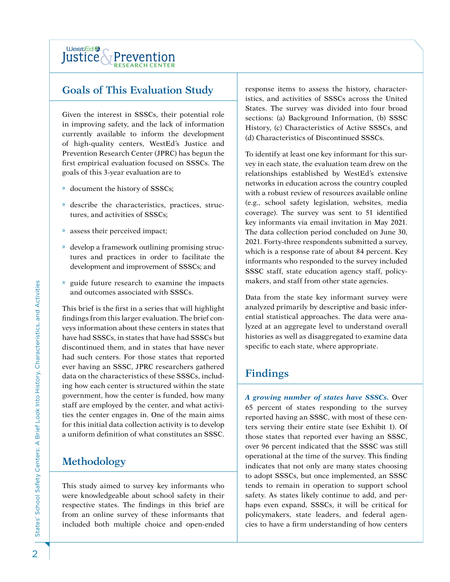

## **Goals of This Evaluation Study**

Given the interest in SSSCs, their potential role in improving safety, and the lack of information currently available to inform the development of high-quality centers, WestEd's Justice and Prevention Research Center (JPRC) has begun the first empirical evaluation focused on SSSCs. The goals of this 3-year evaluation are to

- » document the history of SSSCs;
- » describe the characteristics, practices, structures, and activities of SSSCs;
- » assess their perceived impact;
- » develop a framework outlining promising structures and practices in order to facilitate the development and improvement of SSSCs; and
- » guide future research to examine the impacts and outcomes associated with SSSCs.

This brief is the first in a series that will highlight findings from this larger evaluation. The brief conveys information about these centers in states that have had SSSCs, in states that have had SSSCs but discontinued them, and in states that have never had such centers. For those states that reported ever having an SSSC, JPRC researchers gathered data on the characteristics of these SSSCs, including how each center is structured within the state government, how the center is funded, how many staff are employed by the center, and what activities the center engages in. One of the main aims for this initial data collection activity is to develop a uniform definition of what constitutes an SSSC.

# **Methodology**

This study aimed to survey key informants who were knowledgeable about school safety in their respective states. The findings in this brief are from an online survey of these informants that included both multiple choice and open-ended response items to assess the history, characteristics, and activities of SSSCs across the United States. The survey was divided into four broad sections: (a) Background Information, (b) SSSC History, (c) Characteristics of Active SSSCs, and (d) Characteristics of Discontinued SSSCs.

To identify at least one key informant for this survey in each state, the evaluation team drew on the relationships established by WestEd's extensive networks in education across the country coupled with a robust review of resources available online (e.g., school safety legislation, websites, media coverage). The survey was sent to 51 identified key informants via email invitation in May 2021. The data collection period concluded on June 30, 2021. Forty-three respondents submitted a survey, which is a response rate of about 84 percent. Key informants who responded to the survey included SSSC staff, state education agency staff, policymakers, and staff from other state agencies.

Data from the state key informant survey were analyzed primarily by descriptive and basic inferential statistical approaches. The data were analyzed at an aggregate level to understand overall histories as well as disaggregated to examine data specific to each state, where appropriate.

### **Findings**

*A growing number of states have SSSCs.* Over 65 percent of states responding to the survey reported having an SSSC, with most of these centers serving their entire state (see Exhibit 1). Of those states that reported ever having an SSSC, over 96 percent indicated that the SSSC was still operational at the time of the survey. This finding indicates that not only are many states choosing to adopt SSSCs, but once implemented, an SSSC tends to remain in operation to support school safety. As states likely continue to add, and perhaps even expand, SSSCs, it will be critical for policymakers, state leaders, and federal agencies to have a firm understanding of how centers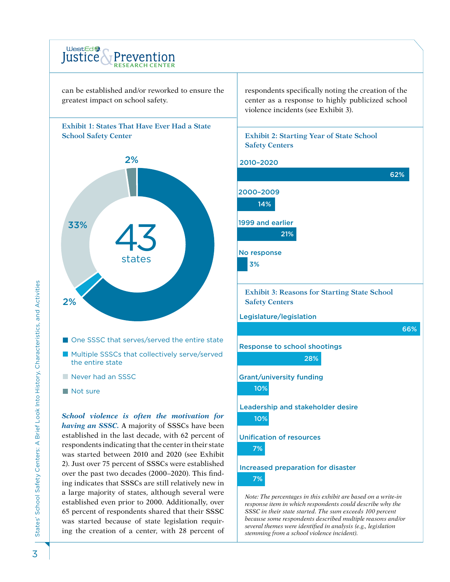

*because some respondents described multiple reasons and/or several themes were identified in analysis (e.g., legislation* 

*stemming from a school violence incident).*

was started because of state legislation requiring the creation of a center, with 28 percent of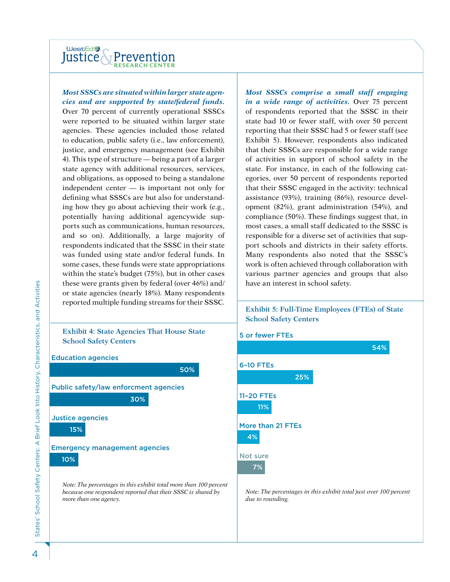

#### *Most SSSCs are situated within larger state agencies and are supported by state/federal funds.*

Over 70 percent of currently operational SSSCs were reported to be situated within larger state agencies. These agencies included those related to education, public safety (i.e., law enforcement), justice, and emergency management (see Exhibit 4). This type of structure — being a part of a larger state agency with additional resources, services, and obligations, as opposed to being a standalone independent center — is important not only for defining what SSSCs are but also for understanding how they go about achieving their work (e.g., potentially having additional agencywide supports such as communications, human resources, and so on). Additionally, a large majority of respondents indicated that the SSSC in their state was funded using state and/or federal funds. In some cases, these funds were state appropriations within the state's budget (75%), but in other cases these were grants given by federal (over 46%) and/ or state agencies (nearly 18%). Many respondents reported multiple funding streams for their SSSC.

#### **Exhibit 4: State Agencies That House State School Safety Centers**



*Most SSSCs comprise a small staff engaging in a wide range of activities.* Over 75 percent of respondents reported that the SSSC in their state had 10 or fewer staff, with over 50 percent reporting that their SSSC had 5 or fewer staff (see Exhibit 5). However, respondents also indicated that their SSSCs are responsible for a wide range of activities in support of school safety in the state. For instance, in each of the following categories, over 50 percent of respondents reported that their SSSC engaged in the activity: technical assistance (93%), training (86%), resource development (82%), grant administration (54%), and compliance (50%). These findings suggest that, in most cases, a small staff dedicated to the SSSC is responsible for a diverse set of activities that support schools and districts in their safety efforts. Many respondents also noted that the SSSC's work is often achieved through collaboration with various partner agencies and groups that also have an interest in school safety.

#### **Exhibit 5: Full-Time Employees (FTEs) of State School Safety Centers**

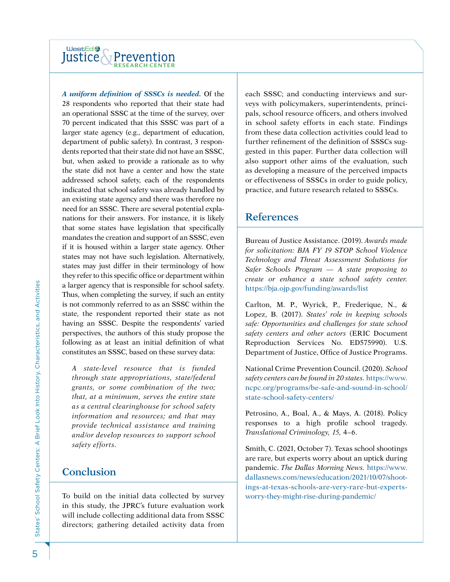

*A uniform definition of SSSCs is needed.* Of the 28 respondents who reported that their state had an operational SSSC at the time of the survey, over 70 percent indicated that this SSSC was part of a larger state agency (e.g., department of education, department of public safety). In contrast, 3 respondents reported that their state did not have an SSSC, but, when asked to provide a rationale as to why the state did not have a center and how the state addressed school safety, each of the respondents indicated that school safety was already handled by an existing state agency and there was therefore no need for an SSSC. There are several potential explanations for their answers. For instance, it is likely that some states have legislation that specifically mandates the creation and support of an SSSC, even if it is housed within a larger state agency. Other states may not have such legislation. Alternatively, states may just differ in their terminology of how they refer to this specific office or department within a larger agency that is responsible for school safety. Thus, when completing the survey, if such an entity is not commonly referred to as an SSSC within the state, the respondent reported their state as not having an SSSC. Despite the respondents' varied perspectives, the authors of this study propose the following as at least an initial definition of what constitutes an SSSC, based on these survey data:

*A state-level resource that is funded through state appropriations, state/federal grants, or some combination of the two; that, at a minimum, serves the entire state as a central clearinghouse for school safety information and resources; and that may provide technical assistance and training and/or develop resources to support school safety efforts.* 

### **Conclusion**

To build on the initial data collected by survey in this study, the JPRC's future evaluation work will include collecting additional data from SSSC directors; gathering detailed activity data from

each SSSC; and conducting interviews and surveys with policymakers, superintendents, principals, school resource officers, and others involved in school safety efforts in each state. Findings from these data collection activities could lead to further refinement of the definition of SSSCs suggested in this paper. Further data collection will also support other aims of the evaluation, such as developing a measure of the perceived impacts or effectiveness of SSSCs in order to guide policy, practice, and future research related to SSSCs.

#### **References**

Bureau of Justice Assistance. (2019). *Awards made for solicitation: BJA FY 19 STOP School Violence Technology and Threat Assessment Solutions for Safer Schools Program — A state proposing to create or enhance a state school safety center.*  <https://bja.ojp.gov/funding/awards/list>

Carlton, M. P., Wyrick, P., Frederique, N., & Lopez, B. (2017). *States' role in keeping schools safe: Opportunities and challenges for state school safety centers and other actors* (ERIC Document Reproduction Services No. ED575990). U.S. Department of Justice, Office of Justice Programs.

National Crime Prevention Council. (2020). *School safety centers can be found in 20 states.* [https://www.](https://www.ncpc.org/programs/be-safe-and-sound-in-school/state-school-safety-centers/) [ncpc.org/programs/be-safe-and-sound-in-school/](https://www.ncpc.org/programs/be-safe-and-sound-in-school/state-school-safety-centers/) [state-school-safety-centers/](https://www.ncpc.org/programs/be-safe-and-sound-in-school/state-school-safety-centers/)

Petrosino, A., Boal, A., & Mays, A. (2018). Policy responses to a high profile school tragedy. *Translational Criminology, 15,* 4–6.

Smith, C. (2021, October 7). Texas school shootings are rare, but experts worry about an uptick during pandemic. *The Dallas Morning News.* [https://www.](https://www.dallasnews.com/news/education/2021/10/07/shootings-at-texas-schools-are-very-rare-but-experts-worry-they-might-rise-during-pandemic/) [dallasnews.com/news/education/2021/10/07/shoot](https://www.dallasnews.com/news/education/2021/10/07/shootings-at-texas-schools-are-very-rare-but-experts-worry-they-might-rise-during-pandemic/)[ings-at-texas-schools-are-very-rare-but-experts](https://www.dallasnews.com/news/education/2021/10/07/shootings-at-texas-schools-are-very-rare-but-experts-worry-they-might-rise-during-pandemic/)[worry-they-might-rise-during-pandemic/](https://www.dallasnews.com/news/education/2021/10/07/shootings-at-texas-schools-are-very-rare-but-experts-worry-they-might-rise-during-pandemic/)